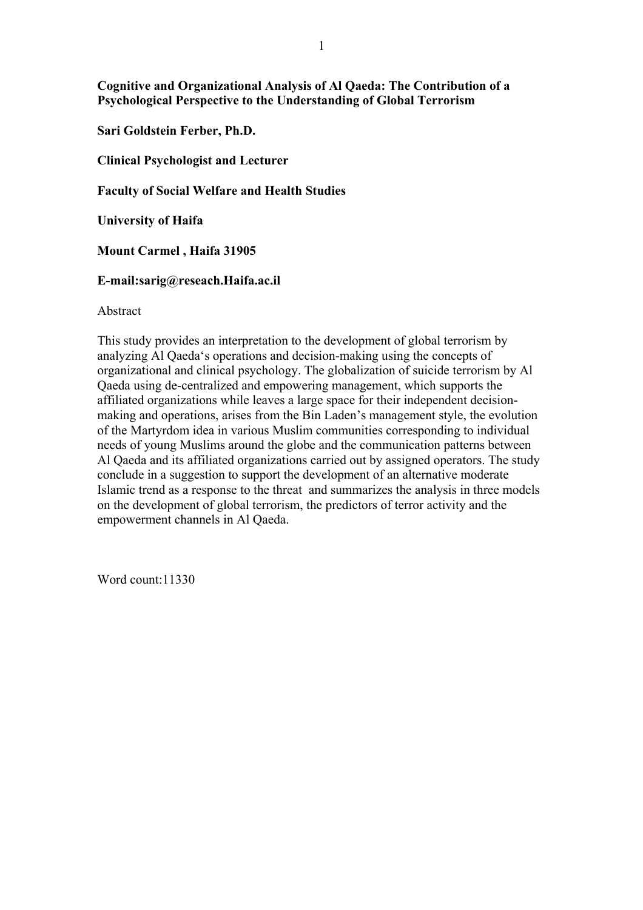**Cognitive and Organizational Analysis of Al Qaeda: The Contribution of a Psychological Perspective to the Understanding of Global Terrorism** 

**Sari Goldstein Ferber, Ph.D.** 

**Clinical Psychologist and Lecturer** 

**Faculty of Social Welfare and Health Studies** 

**University of Haifa** 

**Mount Carmel , Haifa 31905** 

## **E-mail:sarig@reseach.Haifa.ac.il**

Abstract

This study provides an interpretation to the development of global terrorism by analyzing Al Qaeda's operations and decision-making using the concepts of organizational and clinical psychology. The globalization of suicide terrorism by Al Qaeda using de-centralized and empowering management, which supports the affiliated organizations while leaves a large space for their independent decisionmaking and operations, arises from the Bin Laden's management style, the evolution of the Martyrdom idea in various Muslim communities corresponding to individual needs of young Muslims around the globe and the communication patterns between Al Qaeda and its affiliated organizations carried out by assigned operators. The study conclude in a suggestion to support the development of an alternative moderate Islamic trend as a response to the threat and summarizes the analysis in three models on the development of global terrorism, the predictors of terror activity and the empowerment channels in Al Qaeda.

Word count:11330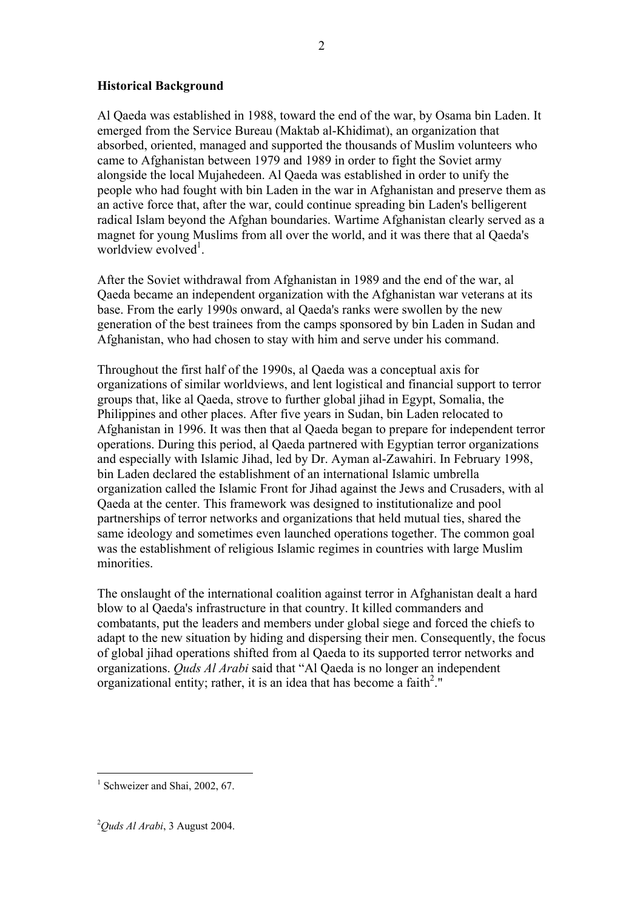## **Historical Background**

Al Qaeda was established in 1988, toward the end of the war, by Osama bin Laden. It emerged from the Service Bureau (Maktab al-Khidimat), an organization that absorbed, oriented, managed and supported the thousands of Muslim volunteers who came to Afghanistan between 1979 and 1989 in order to fight the Soviet army alongside the local Mujahedeen. Al Qaeda was established in order to unify the people who had fought with bin Laden in the war in Afghanistan and preserve them as an active force that, after the war, could continue spreading bin Laden's belligerent radical Islam beyond the Afghan boundaries. Wartime Afghanistan clearly served as a magnet for young Muslims from all over the world, and it was there that al Qaeda's worldview evolved<sup>1</sup>.

After the Soviet withdrawal from Afghanistan in 1989 and the end of the war, al Qaeda became an independent organization with the Afghanistan war veterans at its base. From the early 1990s onward, al Qaeda's ranks were swollen by the new generation of the best trainees from the camps sponsored by bin Laden in Sudan and Afghanistan, who had chosen to stay with him and serve under his command.

Throughout the first half of the 1990s, al Qaeda was a conceptual axis for organizations of similar worldviews, and lent logistical and financial support to terror groups that, like al Qaeda, strove to further global jihad in Egypt, Somalia, the Philippines and other places. After five years in Sudan, bin Laden relocated to Afghanistan in 1996. It was then that al Qaeda began to prepare for independent terror operations. During this period, al Qaeda partnered with Egyptian terror organizations and especially with Islamic Jihad, led by Dr. Ayman al-Zawahiri. In February 1998, bin Laden declared the establishment of an international Islamic umbrella organization called the Islamic Front for Jihad against the Jews and Crusaders, with al Qaeda at the center. This framework was designed to institutionalize and pool partnerships of terror networks and organizations that held mutual ties, shared the same ideology and sometimes even launched operations together. The common goal was the establishment of religious Islamic regimes in countries with large Muslim minorities.

The onslaught of the international coalition against terror in Afghanistan dealt a hard blow to al Qaeda's infrastructure in that country. It killed commanders and combatants, put the leaders and members under global siege and forced the chiefs to adapt to the new situation by hiding and dispersing their men. Consequently, the focus of global jihad operations shifted from al Qaeda to its supported terror networks and organizations. *Quds Al Arabi* said that "Al Qaeda is no longer an independent organizational entity; rather, it is an idea that has become a faith<sup>2</sup>."

<sup>&</sup>lt;sup>1</sup> Schweizer and Shai, 2002, 67.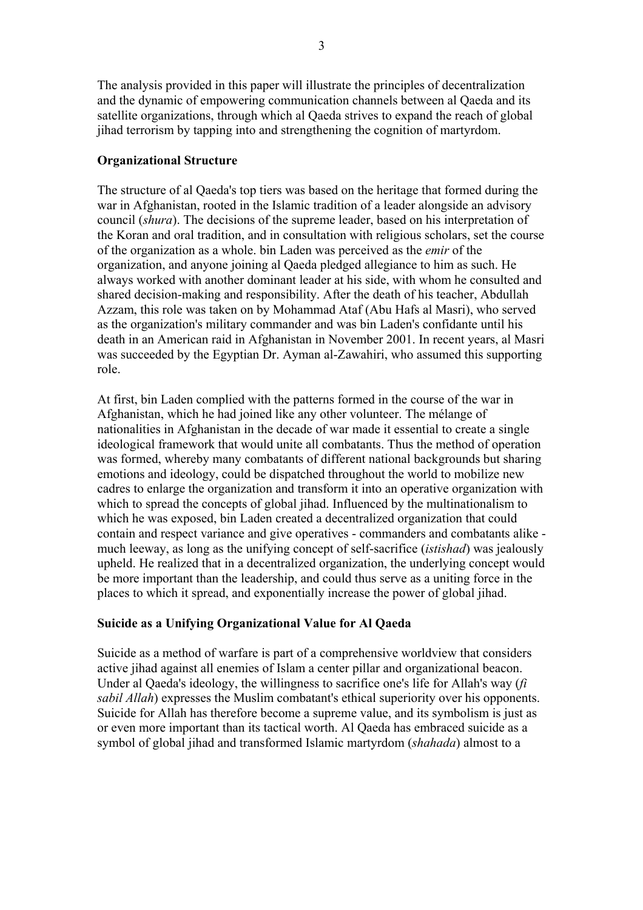The analysis provided in this paper will illustrate the principles of decentralization and the dynamic of empowering communication channels between al Qaeda and its satellite organizations, through which al Qaeda strives to expand the reach of global jihad terrorism by tapping into and strengthening the cognition of martyrdom.

## **Organizational Structure**

The structure of al Qaeda's top tiers was based on the heritage that formed during the war in Afghanistan, rooted in the Islamic tradition of a leader alongside an advisory council (*shura*). The decisions of the supreme leader, based on his interpretation of the Koran and oral tradition, and in consultation with religious scholars, set the course of the organization as a whole. bin Laden was perceived as the *emir* of the organization, and anyone joining al Qaeda pledged allegiance to him as such. He always worked with another dominant leader at his side, with whom he consulted and shared decision-making and responsibility. After the death of his teacher, Abdullah Azzam, this role was taken on by Mohammad Ataf (Abu Hafs al Masri), who served as the organization's military commander and was bin Laden's confidante until his death in an American raid in Afghanistan in November 2001. In recent years, al Masri was succeeded by the Egyptian Dr. Ayman al-Zawahiri, who assumed this supporting role.

At first, bin Laden complied with the patterns formed in the course of the war in Afghanistan, which he had joined like any other volunteer. The mélange of nationalities in Afghanistan in the decade of war made it essential to create a single ideological framework that would unite all combatants. Thus the method of operation was formed, whereby many combatants of different national backgrounds but sharing emotions and ideology, could be dispatched throughout the world to mobilize new cadres to enlarge the organization and transform it into an operative organization with which to spread the concepts of global jihad. Influenced by the multinationalism to which he was exposed, bin Laden created a decentralized organization that could contain and respect variance and give operatives - commanders and combatants alike much leeway, as long as the unifying concept of self-sacrifice (*istishad*) was jealously upheld. He realized that in a decentralized organization, the underlying concept would be more important than the leadership, and could thus serve as a uniting force in the places to which it spread, and exponentially increase the power of global jihad.

# **Suicide as a Unifying Organizational Value for Al Qaeda**

Suicide as a method of warfare is part of a comprehensive worldview that considers active jihad against all enemies of Islam a center pillar and organizational beacon. Under al Qaeda's ideology, the willingness to sacrifice one's life for Allah's way (*fi sabil Allah*) expresses the Muslim combatant's ethical superiority over his opponents. Suicide for Allah has therefore become a supreme value, and its symbolism is just as or even more important than its tactical worth. Al Qaeda has embraced suicide as a symbol of global jihad and transformed Islamic martyrdom (*shahada*) almost to a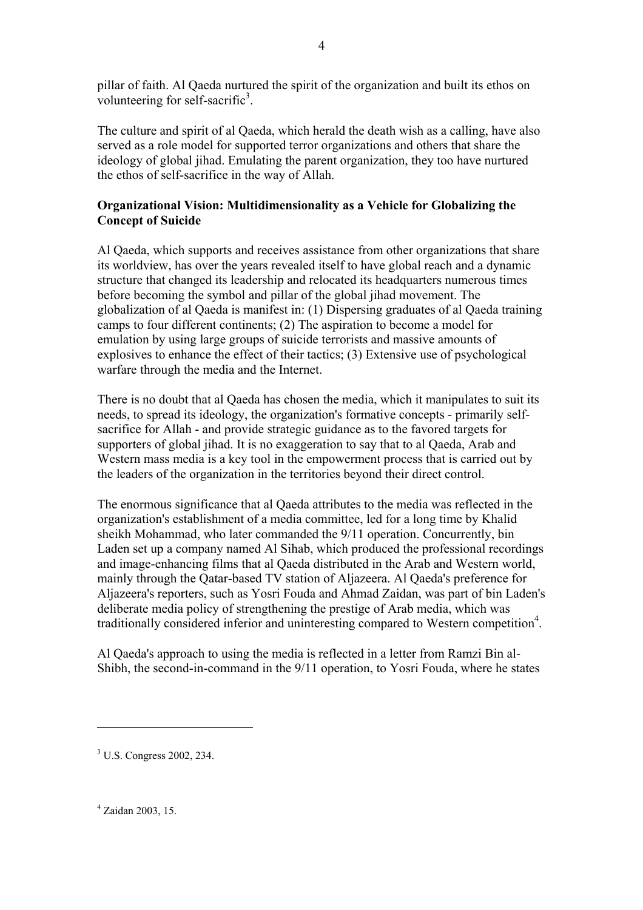pillar of faith. Al Qaeda nurtured the spirit of the organization and built its ethos on volunteering for self-sacrific $3$ .

The culture and spirit of al Qaeda, which herald the death wish as a calling, have also served as a role model for supported terror organizations and others that share the ideology of global jihad. Emulating the parent organization, they too have nurtured the ethos of self-sacrifice in the way of Allah.

# **Organizational Vision: Multidimensionality as a Vehicle for Globalizing the Concept of Suicide**

Al Qaeda, which supports and receives assistance from other organizations that share its worldview, has over the years revealed itself to have global reach and a dynamic structure that changed its leadership and relocated its headquarters numerous times before becoming the symbol and pillar of the global jihad movement. The globalization of al Qaeda is manifest in: (1) Dispersing graduates of al Qaeda training camps to four different continents; (2) The aspiration to become a model for emulation by using large groups of suicide terrorists and massive amounts of explosives to enhance the effect of their tactics; (3) Extensive use of psychological warfare through the media and the Internet.

There is no doubt that al Qaeda has chosen the media, which it manipulates to suit its needs, to spread its ideology, the organization's formative concepts - primarily selfsacrifice for Allah - and provide strategic guidance as to the favored targets for supporters of global jihad. It is no exaggeration to say that to al Qaeda, Arab and Western mass media is a key tool in the empowerment process that is carried out by the leaders of the organization in the territories beyond their direct control.

The enormous significance that al Qaeda attributes to the media was reflected in the organization's establishment of a media committee, led for a long time by Khalid sheikh Mohammad, who later commanded the 9/11 operation. Concurrently, bin Laden set up a company named Al Sihab, which produced the professional recordings and image-enhancing films that al Qaeda distributed in the Arab and Western world, mainly through the Qatar-based TV station of Aljazeera. Al Qaeda's preference for Aljazeera's reporters, such as Yosri Fouda and Ahmad Zaidan, was part of bin Laden's deliberate media policy of strengthening the prestige of Arab media, which was traditionally considered inferior and uninteresting compared to Western competition<sup>4</sup>.

Al Qaeda's approach to using the media is reflected in a letter from Ramzi Bin al-Shibh, the second-in-command in the 9/11 operation, to Yosri Fouda, where he states

4 Zaidan 2003, 15.

<sup>3</sup> U.S. Congress 2002, 234.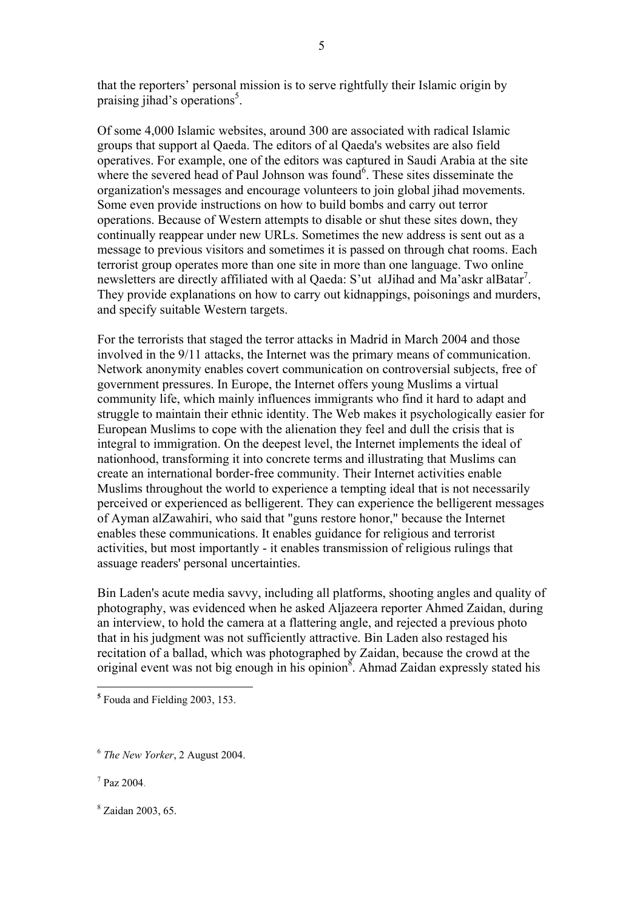that the reporters' personal mission is to serve rightfully their Islamic origin by praising jihad's operations<sup>5</sup>.

5

Of some 4,000 Islamic websites, around 300 are associated with radical Islamic groups that support al Qaeda. The editors of al Qaeda's websites are also field operatives. For example, one of the editors was captured in Saudi Arabia at the site where the severed head of Paul Johnson was found $6$ . These sites disseminate the organization's messages and encourage volunteers to join global jihad movements. Some even provide instructions on how to build bombs and carry out terror operations. Because of Western attempts to disable or shut these sites down, they continually reappear under new URLs. Sometimes the new address is sent out as a message to previous visitors and sometimes it is passed on through chat rooms. Each terrorist group operates more than one site in more than one language. Two online newsletters are directly affiliated with al Qaeda: S'ut alJihad and Ma'askr alBatar<sup>7</sup>. They provide explanations on how to carry out kidnappings, poisonings and murders, and specify suitable Western targets.

For the terrorists that staged the terror attacks in Madrid in March 2004 and those involved in the 9/11 attacks, the Internet was the primary means of communication. Network anonymity enables covert communication on controversial subjects, free of government pressures. In Europe, the Internet offers young Muslims a virtual community life, which mainly influences immigrants who find it hard to adapt and struggle to maintain their ethnic identity. The Web makes it psychologically easier for European Muslims to cope with the alienation they feel and dull the crisis that is integral to immigration. On the deepest level, the Internet implements the ideal of nationhood, transforming it into concrete terms and illustrating that Muslims can create an international border-free community. Their Internet activities enable Muslims throughout the world to experience a tempting ideal that is not necessarily perceived or experienced as belligerent. They can experience the belligerent messages of Ayman alZawahiri, who said that "guns restore honor," because the Internet enables these communications. It enables guidance for religious and terrorist activities, but most importantly - it enables transmission of religious rulings that assuage readers' personal uncertainties.

Bin Laden's acute media savvy, including all platforms, shooting angles and quality of photography, was evidenced when he asked Aljazeera reporter Ahmed Zaidan, during an interview, to hold the camera at a flattering angle, and rejected a previous photo that in his judgment was not sufficiently attractive. Bin Laden also restaged his recitation of a ballad, which was photographed by Zaidan, because the crowd at the original event was not big enough in his opinion<sup>8</sup>. Ahmad Zaidan expressly stated his

**<sup>5</sup>** Fouda and Fielding 2003, 153.

<sup>6</sup> *The New Yorker*, 2 August 2004.

 $7$  Paz 2004.

<sup>8</sup> Zaidan 2003, 65.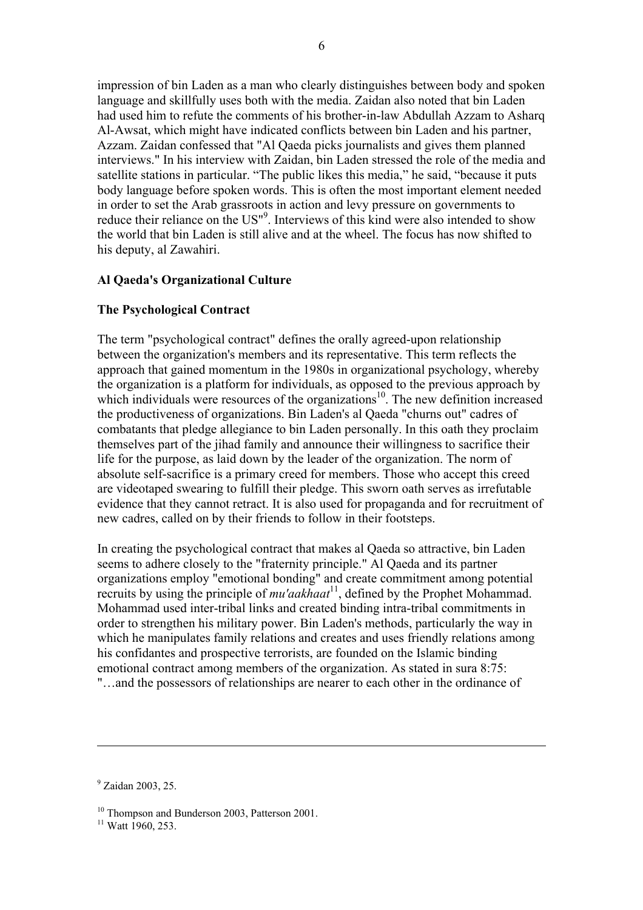impression of bin Laden as a man who clearly distinguishes between body and spoken language and skillfully uses both with the media. Zaidan also noted that bin Laden had used him to refute the comments of his brother-in-law Abdullah Azzam to Asharq Al-Awsat, which might have indicated conflicts between bin Laden and his partner, Azzam. Zaidan confessed that "Al Qaeda picks journalists and gives them planned interviews." In his interview with Zaidan, bin Laden stressed the role of the media and satellite stations in particular. "The public likes this media," he said, "because it puts body language before spoken words. This is often the most important element needed in order to set the Arab grassroots in action and levy pressure on governments to reduce their reliance on the US"<sup>9</sup>. Interviews of this kind were also intended to show the world that bin Laden is still alive and at the wheel. The focus has now shifted to his deputy, al Zawahiri.

## **Al Qaeda's Organizational Culture**

## **The Psychological Contract**

The term "psychological contract" defines the orally agreed-upon relationship between the organization's members and its representative. This term reflects the approach that gained momentum in the 1980s in organizational psychology, whereby the organization is a platform for individuals, as opposed to the previous approach by which individuals were resources of the organizations<sup>10</sup>. The new definition increased the productiveness of organizations. Bin Laden's al Qaeda "churns out" cadres of combatants that pledge allegiance to bin Laden personally. In this oath they proclaim themselves part of the jihad family and announce their willingness to sacrifice their life for the purpose, as laid down by the leader of the organization. The norm of absolute self-sacrifice is a primary creed for members. Those who accept this creed are videotaped swearing to fulfill their pledge. This sworn oath serves as irrefutable evidence that they cannot retract. It is also used for propaganda and for recruitment of new cadres, called on by their friends to follow in their footsteps.

In creating the psychological contract that makes al Qaeda so attractive, bin Laden seems to adhere closely to the "fraternity principle." Al Qaeda and its partner organizations employ "emotional bonding" and create commitment among potential recruits by using the principle of *mu'aakhaat*11, defined by the Prophet Mohammad. Mohammad used inter-tribal links and created binding intra-tribal commitments in order to strengthen his military power. Bin Laden's methods, particularly the way in which he manipulates family relations and creates and uses friendly relations among his confidantes and prospective terrorists, are founded on the Islamic binding emotional contract among members of the organization. As stated in sura 8:75: "…and the possessors of relationships are nearer to each other in the ordinance of

<sup>9</sup> Zaidan 2003, 25.

<sup>&</sup>lt;sup>10</sup> Thompson and Bunderson 2003, Patterson 2001.

 $11$  Watt 1960, 253.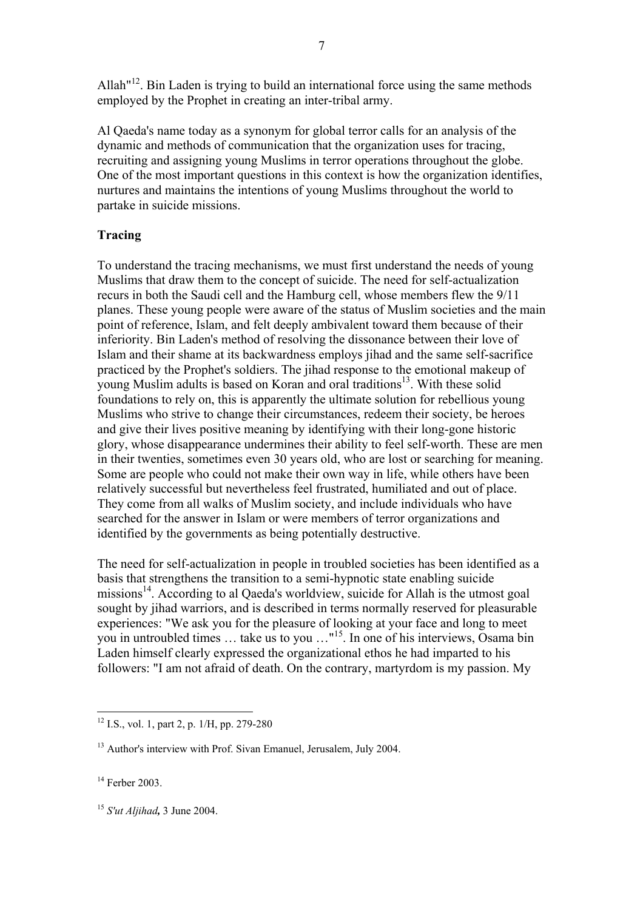Allah $n^{12}$ . Bin Laden is trying to build an international force using the same methods employed by the Prophet in creating an inter-tribal army.

Al Qaeda's name today as a synonym for global terror calls for an analysis of the dynamic and methods of communication that the organization uses for tracing, recruiting and assigning young Muslims in terror operations throughout the globe. One of the most important questions in this context is how the organization identifies, nurtures and maintains the intentions of young Muslims throughout the world to partake in suicide missions.

## **Tracing**

To understand the tracing mechanisms, we must first understand the needs of young Muslims that draw them to the concept of suicide. The need for self-actualization recurs in both the Saudi cell and the Hamburg cell, whose members flew the 9/11 planes. These young people were aware of the status of Muslim societies and the main point of reference, Islam, and felt deeply ambivalent toward them because of their inferiority. Bin Laden's method of resolving the dissonance between their love of Islam and their shame at its backwardness employs jihad and the same self-sacrifice practiced by the Prophet's soldiers. The jihad response to the emotional makeup of young Muslim adults is based on Koran and oral traditions<sup>13</sup>. With these solid foundations to rely on, this is apparently the ultimate solution for rebellious young Muslims who strive to change their circumstances, redeem their society, be heroes and give their lives positive meaning by identifying with their long-gone historic glory, whose disappearance undermines their ability to feel self-worth. These are men in their twenties, sometimes even 30 years old, who are lost or searching for meaning. Some are people who could not make their own way in life, while others have been relatively successful but nevertheless feel frustrated, humiliated and out of place. They come from all walks of Muslim society, and include individuals who have searched for the answer in Islam or were members of terror organizations and identified by the governments as being potentially destructive.

The need for self-actualization in people in troubled societies has been identified as a basis that strengthens the transition to a semi-hypnotic state enabling suicide missions<sup>14</sup>. According to al Qaeda's worldview, suicide for Allah is the utmost goal sought by jihad warriors, and is described in terms normally reserved for pleasurable experiences: "We ask you for the pleasure of looking at your face and long to meet you in untroubled times  $\ldots$  take us to you  $\ldots$ <sup>15</sup>. In one of his interviews, Osama bin Laden himself clearly expressed the organizational ethos he had imparted to his followers: "I am not afraid of death. On the contrary, martyrdom is my passion. My

<sup>&</sup>lt;sup>12</sup> I.S., vol. 1, part 2, p. 1/H, pp. 279-280

<sup>&</sup>lt;sup>13</sup> Author's interview with Prof. Sivan Emanuel, Jerusalem, July 2004.

<sup>&</sup>lt;sup>14</sup> Ferber 2003.

<sup>15</sup> *S'ut Aljihad,* 3 June 2004.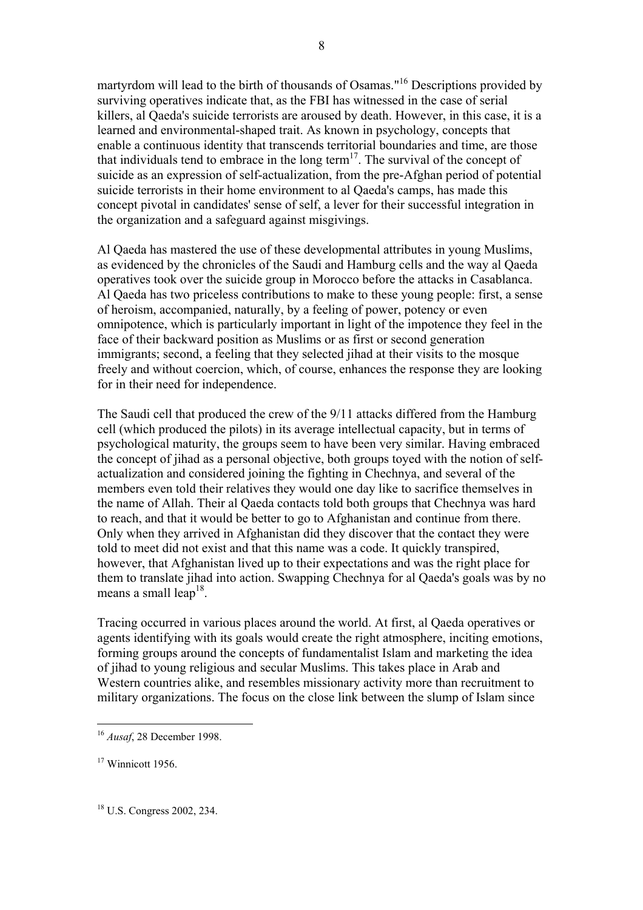martyrdom will lead to the birth of thousands of Osamas."16 Descriptions provided by surviving operatives indicate that, as the FBI has witnessed in the case of serial killers, al Qaeda's suicide terrorists are aroused by death. However, in this case, it is a learned and environmental-shaped trait. As known in psychology, concepts that enable a continuous identity that transcends territorial boundaries and time, are those that individuals tend to embrace in the long term<sup>17</sup>. The survival of the concept of suicide as an expression of self-actualization, from the pre-Afghan period of potential suicide terrorists in their home environment to al Qaeda's camps, has made this concept pivotal in candidates' sense of self, a lever for their successful integration in the organization and a safeguard against misgivings.

8

Al Qaeda has mastered the use of these developmental attributes in young Muslims, as evidenced by the chronicles of the Saudi and Hamburg cells and the way al Qaeda operatives took over the suicide group in Morocco before the attacks in Casablanca. Al Qaeda has two priceless contributions to make to these young people: first, a sense of heroism, accompanied, naturally, by a feeling of power, potency or even omnipotence, which is particularly important in light of the impotence they feel in the face of their backward position as Muslims or as first or second generation immigrants; second, a feeling that they selected jihad at their visits to the mosque freely and without coercion, which, of course, enhances the response they are looking for in their need for independence.

The Saudi cell that produced the crew of the 9/11 attacks differed from the Hamburg cell (which produced the pilots) in its average intellectual capacity, but in terms of psychological maturity, the groups seem to have been very similar. Having embraced the concept of jihad as a personal objective, both groups toyed with the notion of selfactualization and considered joining the fighting in Chechnya, and several of the members even told their relatives they would one day like to sacrifice themselves in the name of Allah. Their al Qaeda contacts told both groups that Chechnya was hard to reach, and that it would be better to go to Afghanistan and continue from there. Only when they arrived in Afghanistan did they discover that the contact they were told to meet did not exist and that this name was a code. It quickly transpired, however, that Afghanistan lived up to their expectations and was the right place for them to translate jihad into action. Swapping Chechnya for al Qaeda's goals was by no means a small leap<sup>18</sup>.

Tracing occurred in various places around the world. At first, al Qaeda operatives or agents identifying with its goals would create the right atmosphere, inciting emotions, forming groups around the concepts of fundamentalist Islam and marketing the idea of jihad to young religious and secular Muslims. This takes place in Arab and Western countries alike, and resembles missionary activity more than recruitment to military organizations. The focus on the close link between the slump of Islam since

 $\overline{a}$ 

18 U.S. Congress 2002, 234.

<sup>16</sup> *Ausaf*, 28 December 1998.

 $17$  Winnicott 1956.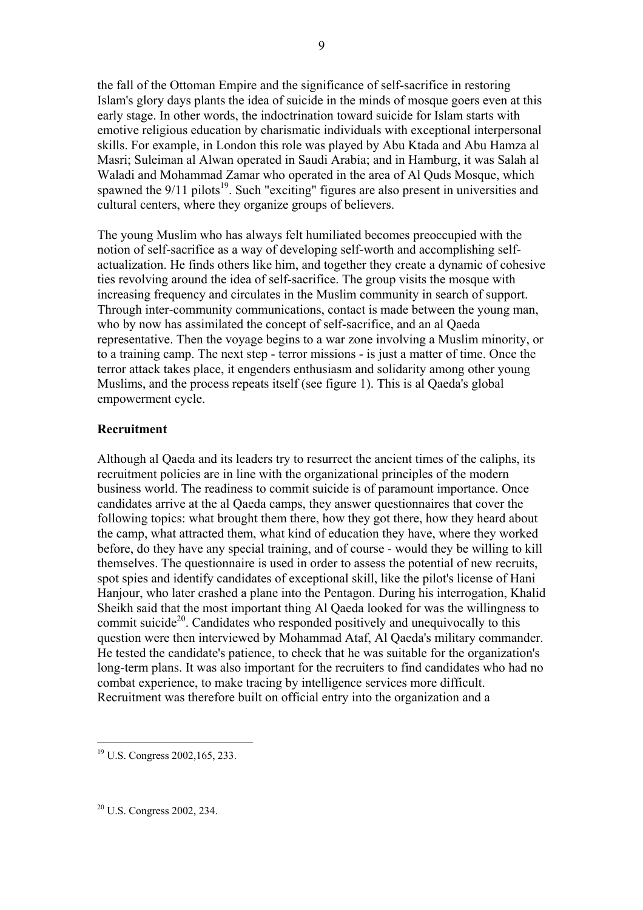the fall of the Ottoman Empire and the significance of self-sacrifice in restoring Islam's glory days plants the idea of suicide in the minds of mosque goers even at this early stage. In other words, the indoctrination toward suicide for Islam starts with emotive religious education by charismatic individuals with exceptional interpersonal skills. For example, in London this role was played by Abu Ktada and Abu Hamza al Masri; Suleiman al Alwan operated in Saudi Arabia; and in Hamburg, it was Salah al Waladi and Mohammad Zamar who operated in the area of Al Quds Mosque, which spawned the  $9/11$  pilots<sup>19</sup>. Such "exciting" figures are also present in universities and cultural centers, where they organize groups of believers.

9

The young Muslim who has always felt humiliated becomes preoccupied with the notion of self-sacrifice as a way of developing self-worth and accomplishing selfactualization. He finds others like him, and together they create a dynamic of cohesive ties revolving around the idea of self-sacrifice. The group visits the mosque with increasing frequency and circulates in the Muslim community in search of support. Through inter-community communications, contact is made between the young man, who by now has assimilated the concept of self-sacrifice, and an al Qaeda representative. Then the voyage begins to a war zone involving a Muslim minority, or to a training camp. The next step - terror missions - is just a matter of time. Once the terror attack takes place, it engenders enthusiasm and solidarity among other young Muslims, and the process repeats itself (see figure 1). This is al Qaeda's global empowerment cycle.

#### **Recruitment**

Although al Qaeda and its leaders try to resurrect the ancient times of the caliphs, its recruitment policies are in line with the organizational principles of the modern business world. The readiness to commit suicide is of paramount importance. Once candidates arrive at the al Qaeda camps, they answer questionnaires that cover the following topics: what brought them there, how they got there, how they heard about the camp, what attracted them, what kind of education they have, where they worked before, do they have any special training, and of course - would they be willing to kill themselves. The questionnaire is used in order to assess the potential of new recruits, spot spies and identify candidates of exceptional skill, like the pilot's license of Hani Hanjour, who later crashed a plane into the Pentagon. During his interrogation, Khalid Sheikh said that the most important thing Al Qaeda looked for was the willingness to commit suicide<sup>20</sup>. Candidates who responded positively and unequivocally to this question were then interviewed by Mohammad Ataf, Al Qaeda's military commander. He tested the candidate's patience, to check that he was suitable for the organization's long-term plans. It was also important for the recruiters to find candidates who had no combat experience, to make tracing by intelligence services more difficult. Recruitment was therefore built on official entry into the organization and a

20 U.S. Congress 2002, 234.

<sup>19</sup> U.S. Congress 2002,165, 233.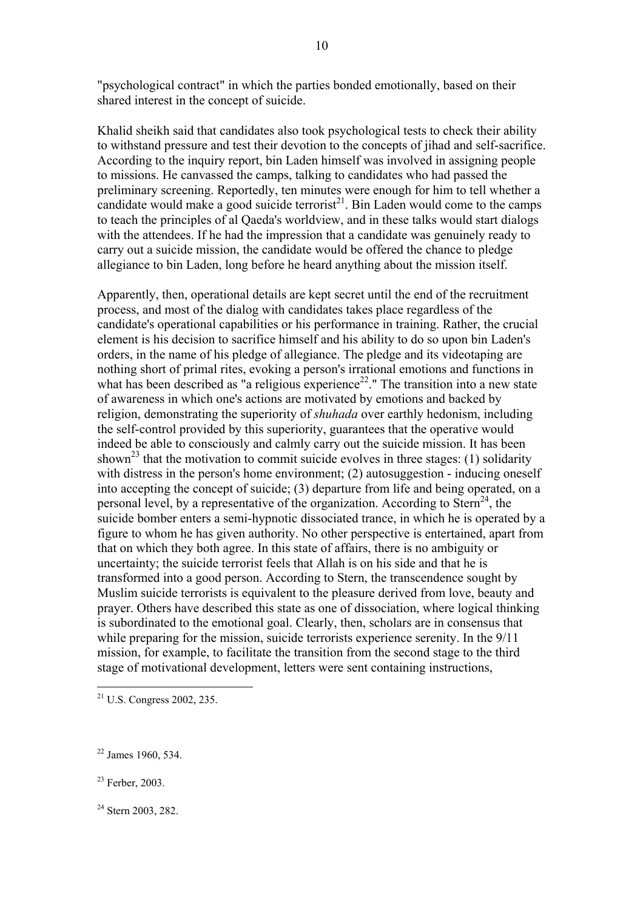"psychological contract" in which the parties bonded emotionally, based on their shared interest in the concept of suicide.

Khalid sheikh said that candidates also took psychological tests to check their ability to withstand pressure and test their devotion to the concepts of jihad and self-sacrifice. According to the inquiry report, bin Laden himself was involved in assigning people to missions. He canvassed the camps, talking to candidates who had passed the preliminary screening. Reportedly, ten minutes were enough for him to tell whether a candidate would make a good suicide terrorist<sup>21</sup>. Bin Laden would come to the camps to teach the principles of al Qaeda's worldview, and in these talks would start dialogs with the attendees. If he had the impression that a candidate was genuinely ready to carry out a suicide mission, the candidate would be offered the chance to pledge allegiance to bin Laden, long before he heard anything about the mission itself.

Apparently, then, operational details are kept secret until the end of the recruitment process, and most of the dialog with candidates takes place regardless of the candidate's operational capabilities or his performance in training. Rather, the crucial element is his decision to sacrifice himself and his ability to do so upon bin Laden's orders, in the name of his pledge of allegiance. The pledge and its videotaping are nothing short of primal rites, evoking a person's irrational emotions and functions in what has been described as "a religious experience<sup>22</sup>." The transition into a new state of awareness in which one's actions are motivated by emotions and backed by religion, demonstrating the superiority of *shuhada* over earthly hedonism, including the self-control provided by this superiority, guarantees that the operative would indeed be able to consciously and calmly carry out the suicide mission. It has been shown<sup>23</sup> that the motivation to commit suicide evolves in three stages: (1) solidarity with distress in the person's home environment; (2) autosuggestion - inducing oneself into accepting the concept of suicide; (3) departure from life and being operated, on a personal level, by a representative of the organization. According to  $Stern^{24}$ , the suicide bomber enters a semi-hypnotic dissociated trance, in which he is operated by a figure to whom he has given authority. No other perspective is entertained, apart from that on which they both agree. In this state of affairs, there is no ambiguity or uncertainty; the suicide terrorist feels that Allah is on his side and that he is transformed into a good person. According to Stern, the transcendence sought by Muslim suicide terrorists is equivalent to the pleasure derived from love, beauty and prayer. Others have described this state as one of dissociation, where logical thinking is subordinated to the emotional goal. Clearly, then, scholars are in consensus that while preparing for the mission, suicide terrorists experience serenity. In the 9/11 mission, for example, to facilitate the transition from the second stage to the third stage of motivational development, letters were sent containing instructions,

23 Ferber, 2003.

 $21$  U.S. Congress 2002, 235.

 $22$  James 1960, 534.

<sup>&</sup>lt;sup>24</sup> Stern 2003, 282.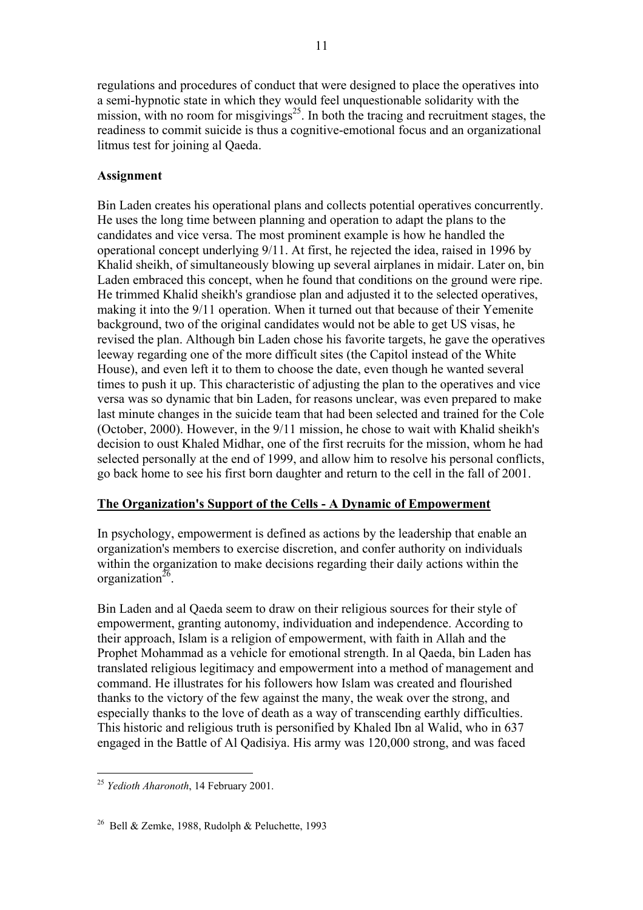regulations and procedures of conduct that were designed to place the operatives into a semi-hypnotic state in which they would feel unquestionable solidarity with the mission, with no room for misgivings<sup>25</sup>. In both the tracing and recruitment stages, the readiness to commit suicide is thus a cognitive-emotional focus and an organizational litmus test for joining al Qaeda.

# **Assignment**

Bin Laden creates his operational plans and collects potential operatives concurrently. He uses the long time between planning and operation to adapt the plans to the candidates and vice versa. The most prominent example is how he handled the operational concept underlying 9/11. At first, he rejected the idea, raised in 1996 by Khalid sheikh, of simultaneously blowing up several airplanes in midair. Later on, bin Laden embraced this concept, when he found that conditions on the ground were ripe. He trimmed Khalid sheikh's grandiose plan and adjusted it to the selected operatives, making it into the 9/11 operation. When it turned out that because of their Yemenite background, two of the original candidates would not be able to get US visas, he revised the plan. Although bin Laden chose his favorite targets, he gave the operatives leeway regarding one of the more difficult sites (the Capitol instead of the White House), and even left it to them to choose the date, even though he wanted several times to push it up. This characteristic of adjusting the plan to the operatives and vice versa was so dynamic that bin Laden, for reasons unclear, was even prepared to make last minute changes in the suicide team that had been selected and trained for the Cole (October, 2000). However, in the 9/11 mission, he chose to wait with Khalid sheikh's decision to oust Khaled Midhar, one of the first recruits for the mission, whom he had selected personally at the end of 1999, and allow him to resolve his personal conflicts, go back home to see his first born daughter and return to the cell in the fall of 2001.

## **The Organization's Support of the Cells - A Dynamic of Empowerment**

In psychology, empowerment is defined as actions by the leadership that enable an organization's members to exercise discretion, and confer authority on individuals within the organization to make decisions regarding their daily actions within the organization $^{26}$ .

Bin Laden and al Qaeda seem to draw on their religious sources for their style of empowerment, granting autonomy, individuation and independence. According to their approach, Islam is a religion of empowerment, with faith in Allah and the Prophet Mohammad as a vehicle for emotional strength. In al Qaeda, bin Laden has translated religious legitimacy and empowerment into a method of management and command. He illustrates for his followers how Islam was created and flourished thanks to the victory of the few against the many, the weak over the strong, and especially thanks to the love of death as a way of transcending earthly difficulties. This historic and religious truth is personified by Khaled Ibn al Walid, who in 637 engaged in the Battle of Al Qadisiya. His army was 120,000 strong, and was faced

<sup>25</sup> *Yedioth Aharonoth*, 14 February 2001.

<sup>&</sup>lt;sup>26</sup> Bell & Zemke, 1988, Rudolph & Peluchette, 1993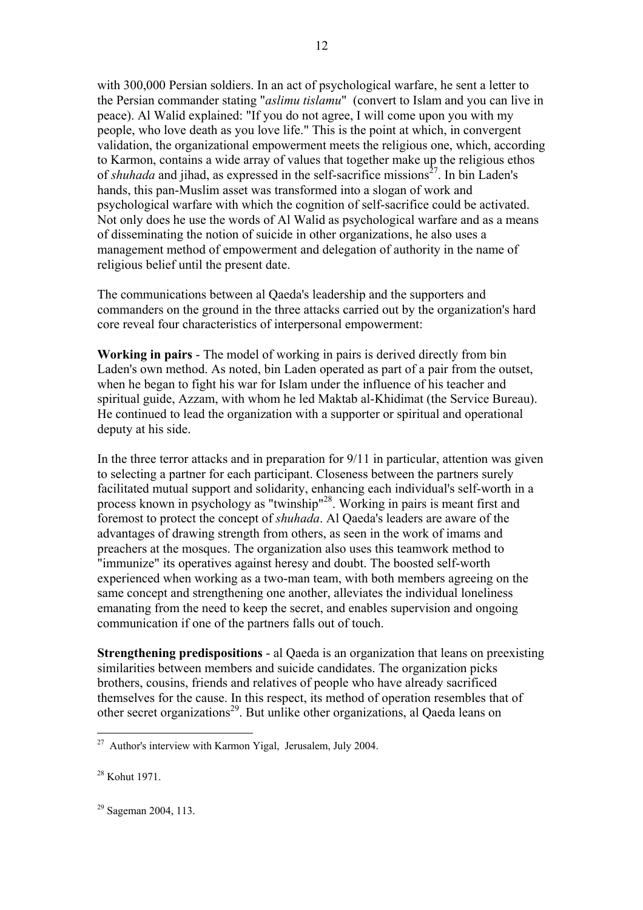with 300,000 Persian soldiers. In an act of psychological warfare, he sent a letter to the Persian commander stating "*aslimu tislamu*" (convert to Islam and you can live in peace). Al Walid explained: "If you do not agree, I will come upon you with my people, who love death as you love life." This is the point at which, in convergent validation, the organizational empowerment meets the religious one, which, according to Karmon, contains a wide array of values that together make up the religious ethos of *shuhada* and jihad, as expressed in the self-sacrifice missions<sup> $27$ </sup>. In bin Laden's hands, this pan-Muslim asset was transformed into a slogan of work and psychological warfare with which the cognition of self-sacrifice could be activated. Not only does he use the words of Al Walid as psychological warfare and as a means of disseminating the notion of suicide in other organizations, he also uses a management method of empowerment and delegation of authority in the name of religious belief until the present date.

The communications between al Qaeda's leadership and the supporters and commanders on the ground in the three attacks carried out by the organization's hard core reveal four characteristics of interpersonal empowerment:

**Working in pairs** - The model of working in pairs is derived directly from bin Laden's own method. As noted, bin Laden operated as part of a pair from the outset, when he began to fight his war for Islam under the influence of his teacher and spiritual guide, Azzam, with whom he led Maktab al-Khidimat (the Service Bureau). He continued to lead the organization with a supporter or spiritual and operational deputy at his side.

In the three terror attacks and in preparation for 9/11 in particular, attention was given to selecting a partner for each participant. Closeness between the partners surely facilitated mutual support and solidarity, enhancing each individual's self-worth in a process known in psychology as "twinship"28. Working in pairs is meant first and foremost to protect the concept of *shuhada*. Al Qaeda's leaders are aware of the advantages of drawing strength from others, as seen in the work of imams and preachers at the mosques. The organization also uses this teamwork method to "immunize" its operatives against heresy and doubt. The boosted self-worth experienced when working as a two-man team, with both members agreeing on the same concept and strengthening one another, alleviates the individual loneliness emanating from the need to keep the secret, and enables supervision and ongoing communication if one of the partners falls out of touch.

**Strengthening predispositions** - al Qaeda is an organization that leans on preexisting similarities between members and suicide candidates. The organization picks brothers, cousins, friends and relatives of people who have already sacrificed themselves for the cause. In this respect, its method of operation resembles that of other secret organizations<sup>29</sup>. But unlike other organizations, al Qaeda leans on

 $27$  Author's interview with Karmon Yigal, Jerusalem, July 2004.

<sup>28</sup> Kohut 1971.

<sup>29</sup> Sageman 2004, 113.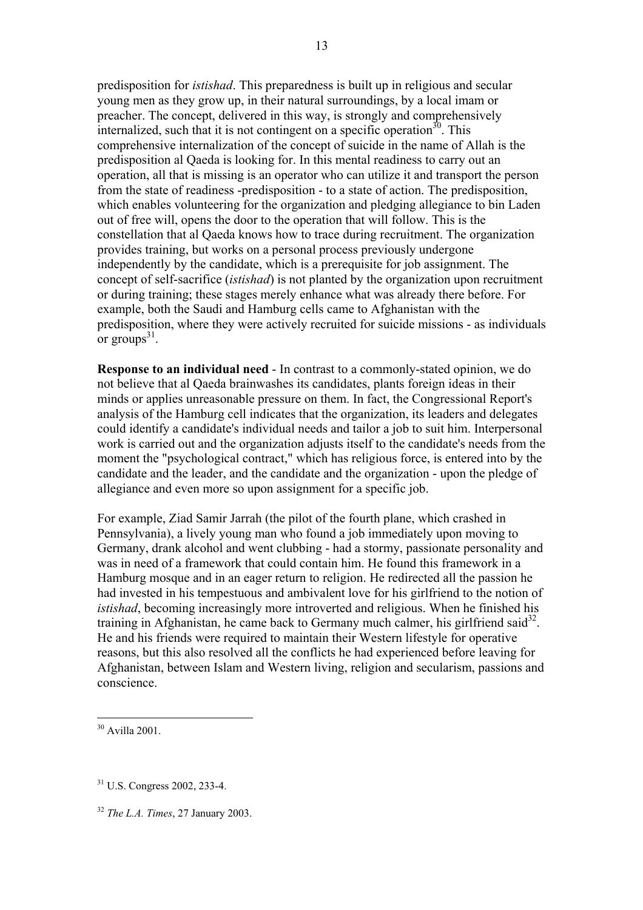predisposition for *istishad*. This preparedness is built up in religious and secular young men as they grow up, in their natural surroundings, by a local imam or preacher. The concept, delivered in this way, is strongly and comprehensively internalized, such that it is not contingent on a specific operation<sup>30</sup>. This comprehensive internalization of the concept of suicide in the name of Allah is the predisposition al Qaeda is looking for. In this mental readiness to carry out an operation, all that is missing is an operator who can utilize it and transport the person from the state of readiness -predisposition - to a state of action. The predisposition, which enables volunteering for the organization and pledging allegiance to bin Laden out of free will, opens the door to the operation that will follow. This is the constellation that al Qaeda knows how to trace during recruitment. The organization provides training, but works on a personal process previously undergone independently by the candidate, which is a prerequisite for job assignment. The concept of self-sacrifice (*istishad*) is not planted by the organization upon recruitment or during training; these stages merely enhance what was already there before. For example, both the Saudi and Hamburg cells came to Afghanistan with the predisposition, where they were actively recruited for suicide missions - as individuals or groups $31$ .

**Response to an individual need** - In contrast to a commonly-stated opinion, we do not believe that al Qaeda brainwashes its candidates, plants foreign ideas in their minds or applies unreasonable pressure on them. In fact, the Congressional Report's analysis of the Hamburg cell indicates that the organization, its leaders and delegates could identify a candidate's individual needs and tailor a job to suit him. Interpersonal work is carried out and the organization adjusts itself to the candidate's needs from the moment the "psychological contract," which has religious force, is entered into by the candidate and the leader, and the candidate and the organization - upon the pledge of allegiance and even more so upon assignment for a specific job.

For example, Ziad Samir Jarrah (the pilot of the fourth plane, which crashed in Pennsylvania), a lively young man who found a job immediately upon moving to Germany, drank alcohol and went clubbing - had a stormy, passionate personality and was in need of a framework that could contain him. He found this framework in a Hamburg mosque and in an eager return to religion. He redirected all the passion he had invested in his tempestuous and ambivalent love for his girlfriend to the notion of *istishad*, becoming increasingly more introverted and religious. When he finished his training in Afghanistan, he came back to Germany much calmer, his girlfriend said<sup>32</sup>. He and his friends were required to maintain their Western lifestyle for operative reasons, but this also resolved all the conflicts he had experienced before leaving for Afghanistan, between Islam and Western living, religion and secularism, passions and conscience.

<sup>30</sup> Avilla 2001.

<sup>31</sup> U.S. Congress 2002, 233-4.

<sup>32</sup> *The L.A. Times*, 27 January 2003.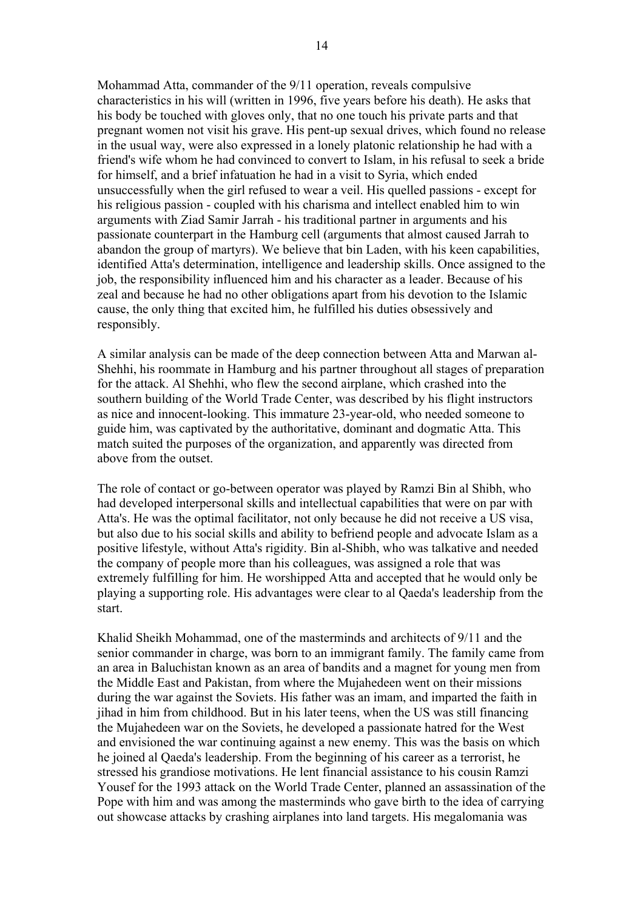Mohammad Atta, commander of the 9/11 operation, reveals compulsive characteristics in his will (written in 1996, five years before his death). He asks that his body be touched with gloves only, that no one touch his private parts and that pregnant women not visit his grave. His pent-up sexual drives, which found no release in the usual way, were also expressed in a lonely platonic relationship he had with a friend's wife whom he had convinced to convert to Islam, in his refusal to seek a bride for himself, and a brief infatuation he had in a visit to Syria, which ended unsuccessfully when the girl refused to wear a veil. His quelled passions - except for his religious passion - coupled with his charisma and intellect enabled him to win arguments with Ziad Samir Jarrah - his traditional partner in arguments and his passionate counterpart in the Hamburg cell (arguments that almost caused Jarrah to abandon the group of martyrs). We believe that bin Laden, with his keen capabilities, identified Atta's determination, intelligence and leadership skills. Once assigned to the job, the responsibility influenced him and his character as a leader. Because of his zeal and because he had no other obligations apart from his devotion to the Islamic cause, the only thing that excited him, he fulfilled his duties obsessively and responsibly.

A similar analysis can be made of the deep connection between Atta and Marwan al-Shehhi, his roommate in Hamburg and his partner throughout all stages of preparation for the attack. Al Shehhi, who flew the second airplane, which crashed into the southern building of the World Trade Center, was described by his flight instructors as nice and innocent-looking. This immature 23-year-old, who needed someone to guide him, was captivated by the authoritative, dominant and dogmatic Atta. This match suited the purposes of the organization, and apparently was directed from above from the outset.

The role of contact or go-between operator was played by Ramzi Bin al Shibh, who had developed interpersonal skills and intellectual capabilities that were on par with Atta's. He was the optimal facilitator, not only because he did not receive a US visa, but also due to his social skills and ability to befriend people and advocate Islam as a positive lifestyle, without Atta's rigidity. Bin al-Shibh, who was talkative and needed the company of people more than his colleagues, was assigned a role that was extremely fulfilling for him. He worshipped Atta and accepted that he would only be playing a supporting role. His advantages were clear to al Qaeda's leadership from the start.

Khalid Sheikh Mohammad, one of the masterminds and architects of 9/11 and the senior commander in charge, was born to an immigrant family. The family came from an area in Baluchistan known as an area of bandits and a magnet for young men from the Middle East and Pakistan, from where the Mujahedeen went on their missions during the war against the Soviets. His father was an imam, and imparted the faith in jihad in him from childhood. But in his later teens, when the US was still financing the Mujahedeen war on the Soviets, he developed a passionate hatred for the West and envisioned the war continuing against a new enemy. This was the basis on which he joined al Qaeda's leadership. From the beginning of his career as a terrorist, he stressed his grandiose motivations. He lent financial assistance to his cousin Ramzi Yousef for the 1993 attack on the World Trade Center, planned an assassination of the Pope with him and was among the masterminds who gave birth to the idea of carrying out showcase attacks by crashing airplanes into land targets. His megalomania was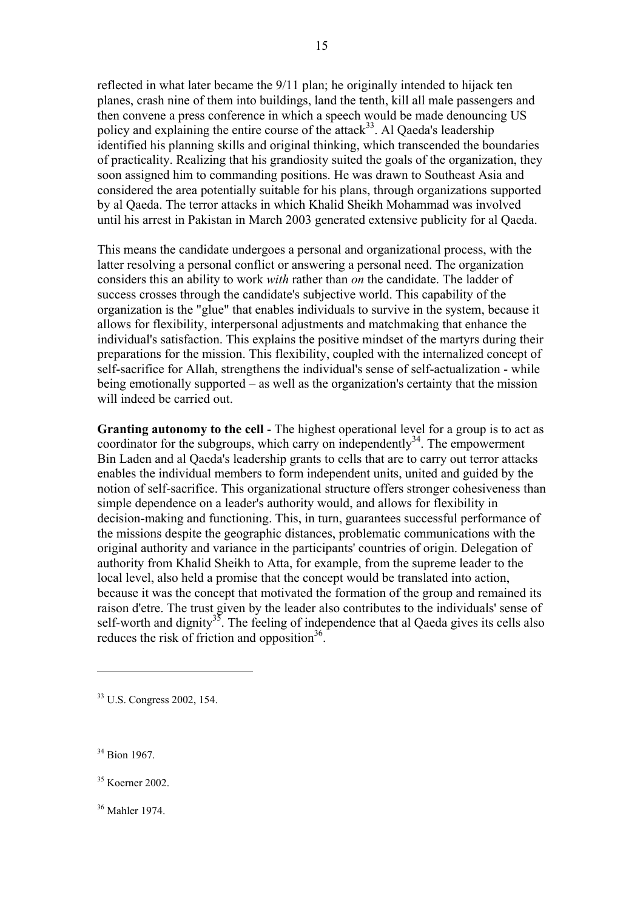reflected in what later became the 9/11 plan; he originally intended to hijack ten planes, crash nine of them into buildings, land the tenth, kill all male passengers and then convene a press conference in which a speech would be made denouncing US policy and explaining the entire course of the attack $33$ . Al Qaeda's leadership identified his planning skills and original thinking, which transcended the boundaries of practicality. Realizing that his grandiosity suited the goals of the organization, they soon assigned him to commanding positions. He was drawn to Southeast Asia and considered the area potentially suitable for his plans, through organizations supported by al Qaeda. The terror attacks in which Khalid Sheikh Mohammad was involved until his arrest in Pakistan in March 2003 generated extensive publicity for al Qaeda.

This means the candidate undergoes a personal and organizational process, with the latter resolving a personal conflict or answering a personal need. The organization considers this an ability to work *with* rather than *on* the candidate. The ladder of success crosses through the candidate's subjective world. This capability of the organization is the "glue" that enables individuals to survive in the system, because it allows for flexibility, interpersonal adjustments and matchmaking that enhance the individual's satisfaction. This explains the positive mindset of the martyrs during their preparations for the mission. This flexibility, coupled with the internalized concept of self-sacrifice for Allah, strengthens the individual's sense of self-actualization - while being emotionally supported – as well as the organization's certainty that the mission will indeed be carried out.

**Granting autonomy to the cell** - The highest operational level for a group is to act as coordinator for the subgroups, which carry on independently<sup>34</sup>. The empowerment Bin Laden and al Qaeda's leadership grants to cells that are to carry out terror attacks enables the individual members to form independent units, united and guided by the notion of self-sacrifice. This organizational structure offers stronger cohesiveness than simple dependence on a leader's authority would, and allows for flexibility in decision-making and functioning. This, in turn, guarantees successful performance of the missions despite the geographic distances, problematic communications with the original authority and variance in the participants' countries of origin. Delegation of authority from Khalid Sheikh to Atta, for example, from the supreme leader to the local level, also held a promise that the concept would be translated into action, because it was the concept that motivated the formation of the group and remained its raison d'etre. The trust given by the leader also contributes to the individuals' sense of self-worth and dignity<sup>35</sup>. The feeling of independence that al Qaeda gives its cells also reduces the risk of friction and opposition<sup>36</sup>.

33 U.S. Congress 2002, 154.

34 Bion 1967.

 $\overline{a}$ 

35 Koerner 2002.

36 Mahler 1974.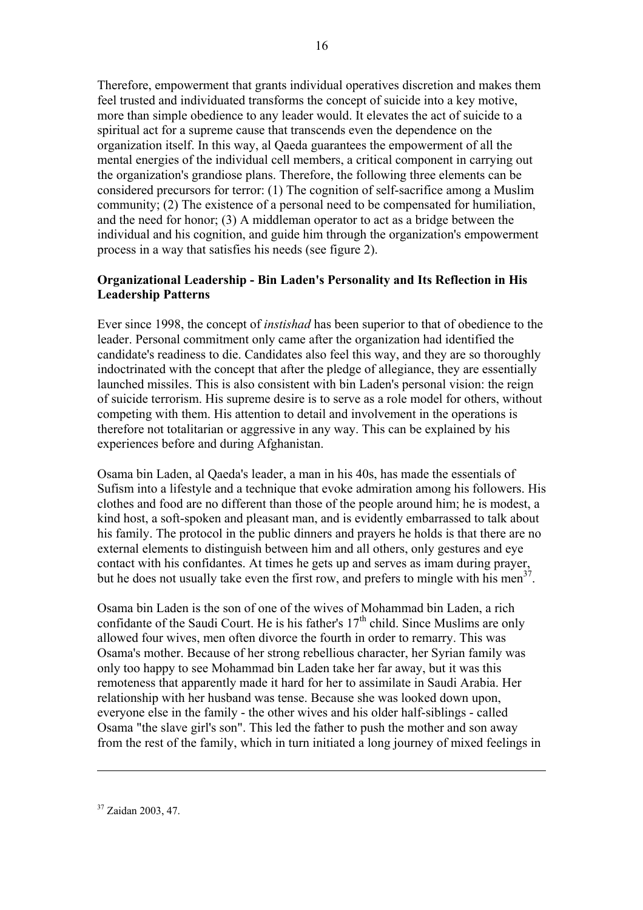Therefore, empowerment that grants individual operatives discretion and makes them feel trusted and individuated transforms the concept of suicide into a key motive, more than simple obedience to any leader would. It elevates the act of suicide to a spiritual act for a supreme cause that transcends even the dependence on the organization itself. In this way, al Qaeda guarantees the empowerment of all the mental energies of the individual cell members, a critical component in carrying out the organization's grandiose plans. Therefore, the following three elements can be considered precursors for terror: (1) The cognition of self-sacrifice among a Muslim community; (2) The existence of a personal need to be compensated for humiliation, and the need for honor; (3) A middleman operator to act as a bridge between the individual and his cognition, and guide him through the organization's empowerment process in a way that satisfies his needs (see figure 2).

# **Organizational Leadership - Bin Laden's Personality and Its Reflection in His Leadership Patterns**

Ever since 1998, the concept of *instishad* has been superior to that of obedience to the leader. Personal commitment only came after the organization had identified the candidate's readiness to die. Candidates also feel this way, and they are so thoroughly indoctrinated with the concept that after the pledge of allegiance, they are essentially launched missiles. This is also consistent with bin Laden's personal vision: the reign of suicide terrorism. His supreme desire is to serve as a role model for others, without competing with them. His attention to detail and involvement in the operations is therefore not totalitarian or aggressive in any way. This can be explained by his experiences before and during Afghanistan.

Osama bin Laden, al Qaeda's leader, a man in his 40s, has made the essentials of Sufism into a lifestyle and a technique that evoke admiration among his followers. His clothes and food are no different than those of the people around him; he is modest, a kind host, a soft-spoken and pleasant man, and is evidently embarrassed to talk about his family. The protocol in the public dinners and prayers he holds is that there are no external elements to distinguish between him and all others, only gestures and eye contact with his confidantes. At times he gets up and serves as imam during prayer, but he does not usually take even the first row, and prefers to mingle with his men<sup>37</sup>.

Osama bin Laden is the son of one of the wives of Mohammad bin Laden, a rich confidante of the Saudi Court. He is his father's  $17<sup>th</sup>$  child. Since Muslims are only allowed four wives, men often divorce the fourth in order to remarry. This was Osama's mother. Because of her strong rebellious character, her Syrian family was only too happy to see Mohammad bin Laden take her far away, but it was this remoteness that apparently made it hard for her to assimilate in Saudi Arabia. Her relationship with her husband was tense. Because she was looked down upon, everyone else in the family - the other wives and his older half-siblings - called Osama "the slave girl's son". This led the father to push the mother and son away from the rest of the family, which in turn initiated a long journey of mixed feelings in

<sup>37</sup> Zaidan 2003, 47.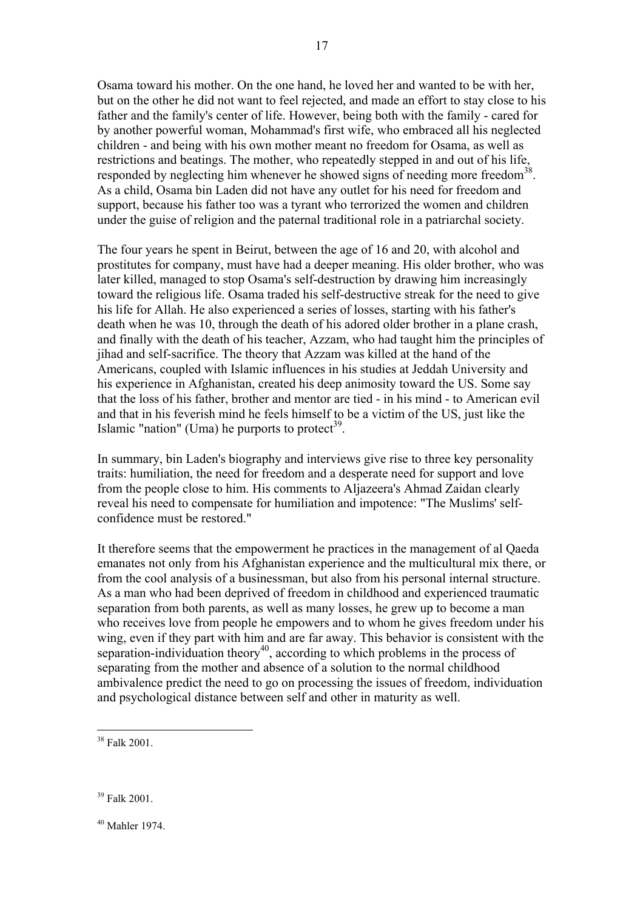Osama toward his mother. On the one hand, he loved her and wanted to be with her, but on the other he did not want to feel rejected, and made an effort to stay close to his father and the family's center of life. However, being both with the family - cared for by another powerful woman, Mohammad's first wife, who embraced all his neglected children - and being with his own mother meant no freedom for Osama, as well as restrictions and beatings. The mother, who repeatedly stepped in and out of his life, responded by neglecting him whenever he showed signs of needing more freedom<sup>38</sup>. As a child, Osama bin Laden did not have any outlet for his need for freedom and support, because his father too was a tyrant who terrorized the women and children under the guise of religion and the paternal traditional role in a patriarchal society.

17

The four years he spent in Beirut, between the age of 16 and 20, with alcohol and prostitutes for company, must have had a deeper meaning. His older brother, who was later killed, managed to stop Osama's self-destruction by drawing him increasingly toward the religious life. Osama traded his self-destructive streak for the need to give his life for Allah. He also experienced a series of losses, starting with his father's death when he was 10, through the death of his adored older brother in a plane crash, and finally with the death of his teacher, Azzam, who had taught him the principles of jihad and self-sacrifice. The theory that Azzam was killed at the hand of the Americans, coupled with Islamic influences in his studies at Jeddah University and his experience in Afghanistan, created his deep animosity toward the US. Some say that the loss of his father, brother and mentor are tied - in his mind - to American evil and that in his feverish mind he feels himself to be a victim of the US, just like the Islamic "nation" (Uma) he purports to protect $39$ .

In summary, bin Laden's biography and interviews give rise to three key personality traits: humiliation, the need for freedom and a desperate need for support and love from the people close to him. His comments to Aljazeera's Ahmad Zaidan clearly reveal his need to compensate for humiliation and impotence: "The Muslims' selfconfidence must be restored."

It therefore seems that the empowerment he practices in the management of al Qaeda emanates not only from his Afghanistan experience and the multicultural mix there, or from the cool analysis of a businessman, but also from his personal internal structure. As a man who had been deprived of freedom in childhood and experienced traumatic separation from both parents, as well as many losses, he grew up to become a man who receives love from people he empowers and to whom he gives freedom under his wing, even if they part with him and are far away. This behavior is consistent with the separation-individuation theory<sup>40</sup>, according to which problems in the process of separating from the mother and absence of a solution to the normal childhood ambivalence predict the need to go on processing the issues of freedom, individuation and psychological distance between self and other in maturity as well.

 $\overline{a}$ 

 $40$  Mahler 1974.

<sup>38</sup> Falk 2001.

<sup>39</sup> Falk 2001.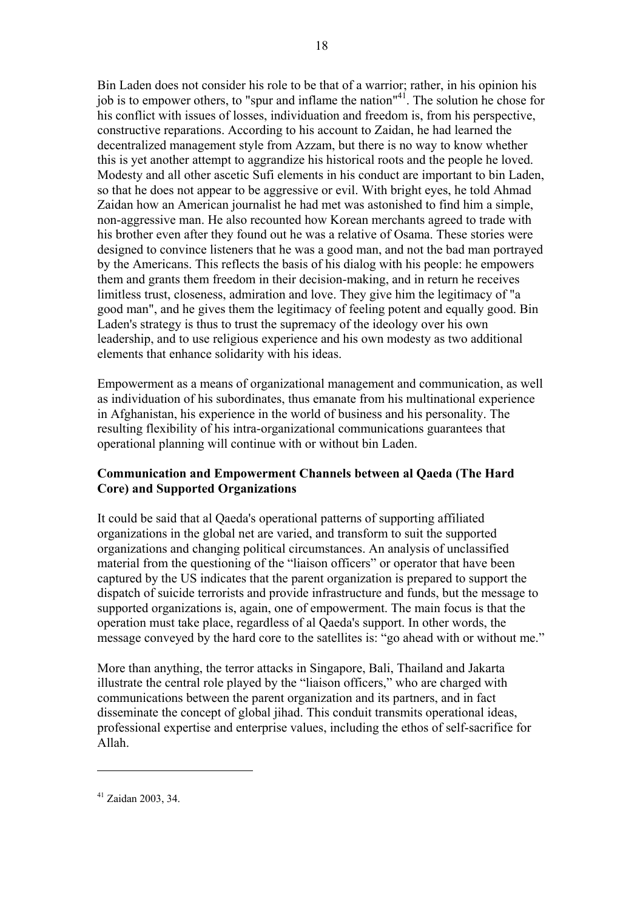Bin Laden does not consider his role to be that of a warrior; rather, in his opinion his job is to empower others, to "spur and inflame the nation"<sup>41</sup>. The solution he chose for his conflict with issues of losses, individuation and freedom is, from his perspective, constructive reparations. According to his account to Zaidan, he had learned the decentralized management style from Azzam, but there is no way to know whether this is yet another attempt to aggrandize his historical roots and the people he loved. Modesty and all other ascetic Sufi elements in his conduct are important to bin Laden, so that he does not appear to be aggressive or evil. With bright eyes, he told Ahmad Zaidan how an American journalist he had met was astonished to find him a simple, non-aggressive man. He also recounted how Korean merchants agreed to trade with his brother even after they found out he was a relative of Osama. These stories were designed to convince listeners that he was a good man, and not the bad man portrayed by the Americans. This reflects the basis of his dialog with his people: he empowers them and grants them freedom in their decision-making, and in return he receives limitless trust, closeness, admiration and love. They give him the legitimacy of "a good man", and he gives them the legitimacy of feeling potent and equally good. Bin Laden's strategy is thus to trust the supremacy of the ideology over his own leadership, and to use religious experience and his own modesty as two additional elements that enhance solidarity with his ideas.

Empowerment as a means of organizational management and communication, as well as individuation of his subordinates, thus emanate from his multinational experience in Afghanistan, his experience in the world of business and his personality. The resulting flexibility of his intra-organizational communications guarantees that operational planning will continue with or without bin Laden.

## **Communication and Empowerment Channels between al Qaeda (The Hard Core) and Supported Organizations**

It could be said that al Qaeda's operational patterns of supporting affiliated organizations in the global net are varied, and transform to suit the supported organizations and changing political circumstances. An analysis of unclassified material from the questioning of the "liaison officers" or operator that have been captured by the US indicates that the parent organization is prepared to support the dispatch of suicide terrorists and provide infrastructure and funds, but the message to supported organizations is, again, one of empowerment. The main focus is that the operation must take place, regardless of al Qaeda's support. In other words, the message conveyed by the hard core to the satellites is: "go ahead with or without me."

More than anything, the terror attacks in Singapore, Bali, Thailand and Jakarta illustrate the central role played by the "liaison officers," who are charged with communications between the parent organization and its partners, and in fact disseminate the concept of global jihad. This conduit transmits operational ideas, professional expertise and enterprise values, including the ethos of self-sacrifice for Allah.

<sup>41</sup> Zaidan 2003, 34.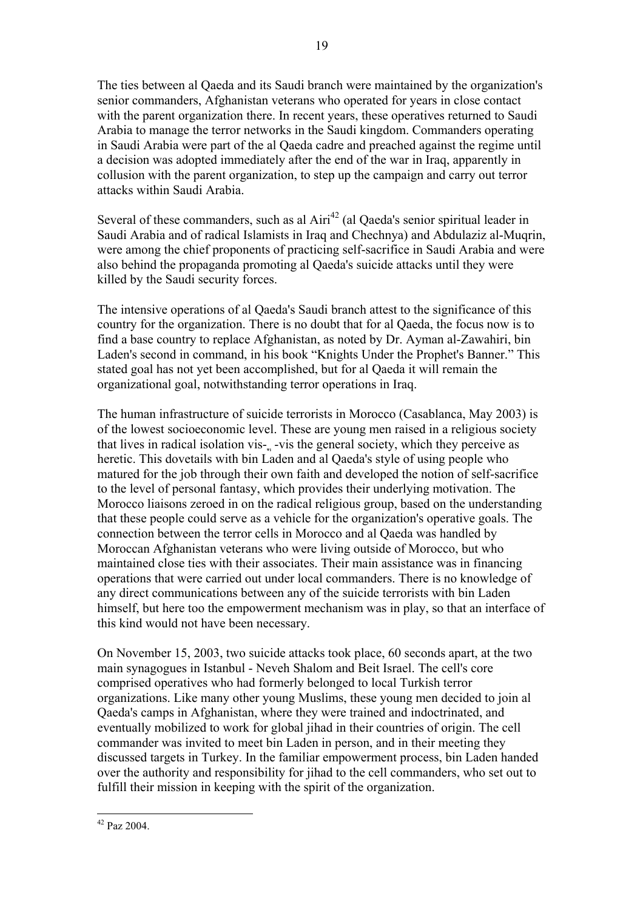The ties between al Qaeda and its Saudi branch were maintained by the organization's senior commanders, Afghanistan veterans who operated for years in close contact with the parent organization there. In recent years, these operatives returned to Saudi Arabia to manage the terror networks in the Saudi kingdom. Commanders operating in Saudi Arabia were part of the al Qaeda cadre and preached against the regime until a decision was adopted immediately after the end of the war in Iraq, apparently in collusion with the parent organization, to step up the campaign and carry out terror attacks within Saudi Arabia.

Several of these commanders, such as al  $Airi<sup>42</sup>$  (al Qaeda's senior spiritual leader in Saudi Arabia and of radical Islamists in Iraq and Chechnya) and Abdulaziz al-Muqrin, were among the chief proponents of practicing self-sacrifice in Saudi Arabia and were also behind the propaganda promoting al Qaeda's suicide attacks until they were killed by the Saudi security forces.

The intensive operations of al Qaeda's Saudi branch attest to the significance of this country for the organization. There is no doubt that for al Qaeda, the focus now is to find a base country to replace Afghanistan, as noted by Dr. Ayman al-Zawahiri, bin Laden's second in command, in his book "Knights Under the Prophet's Banner." This stated goal has not yet been accomplished, but for al Qaeda it will remain the organizational goal, notwithstanding terror operations in Iraq.

The human infrastructure of suicide terrorists in Morocco (Casablanca, May 2003) is of the lowest socioeconomic level. These are young men raised in a religious society that lives in radical isolation vis-ֳ -vis the general society, which they perceive as heretic. This dovetails with bin Laden and al Qaeda's style of using people who matured for the job through their own faith and developed the notion of self-sacrifice to the level of personal fantasy, which provides their underlying motivation. The Morocco liaisons zeroed in on the radical religious group, based on the understanding that these people could serve as a vehicle for the organization's operative goals. The connection between the terror cells in Morocco and al Qaeda was handled by Moroccan Afghanistan veterans who were living outside of Morocco, but who maintained close ties with their associates. Their main assistance was in financing operations that were carried out under local commanders. There is no knowledge of any direct communications between any of the suicide terrorists with bin Laden himself, but here too the empowerment mechanism was in play, so that an interface of this kind would not have been necessary.

On November 15, 2003, two suicide attacks took place, 60 seconds apart, at the two main synagogues in Istanbul - Neveh Shalom and Beit Israel. The cell's core comprised operatives who had formerly belonged to local Turkish terror organizations. Like many other young Muslims, these young men decided to join al Qaeda's camps in Afghanistan, where they were trained and indoctrinated, and eventually mobilized to work for global jihad in their countries of origin. The cell commander was invited to meet bin Laden in person, and in their meeting they discussed targets in Turkey. In the familiar empowerment process, bin Laden handed over the authority and responsibility for jihad to the cell commanders, who set out to fulfill their mission in keeping with the spirit of the organization.

 $\overline{a}$  $42$  Paz 2004.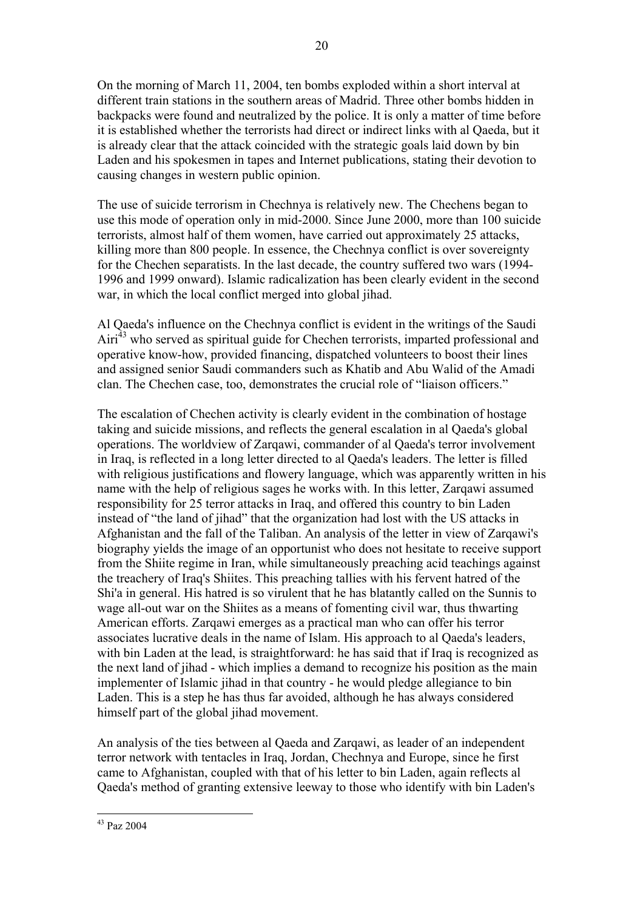On the morning of March 11, 2004, ten bombs exploded within a short interval at different train stations in the southern areas of Madrid. Three other bombs hidden in backpacks were found and neutralized by the police. It is only a matter of time before it is established whether the terrorists had direct or indirect links with al Qaeda, but it is already clear that the attack coincided with the strategic goals laid down by bin Laden and his spokesmen in tapes and Internet publications, stating their devotion to causing changes in western public opinion.

The use of suicide terrorism in Chechnya is relatively new. The Chechens began to use this mode of operation only in mid-2000. Since June 2000, more than 100 suicide terrorists, almost half of them women, have carried out approximately 25 attacks, killing more than 800 people. In essence, the Chechnya conflict is over sovereignty for the Chechen separatists. In the last decade, the country suffered two wars (1994- 1996 and 1999 onward). Islamic radicalization has been clearly evident in the second war, in which the local conflict merged into global jihad.

Al Qaeda's influence on the Chechnya conflict is evident in the writings of the Saudi Airi<sup>43</sup> who served as spiritual guide for Chechen terrorists, imparted professional and operative know-how, provided financing, dispatched volunteers to boost their lines and assigned senior Saudi commanders such as Khatib and Abu Walid of the Amadi clan. The Chechen case, too, demonstrates the crucial role of "liaison officers."

The escalation of Chechen activity is clearly evident in the combination of hostage taking and suicide missions, and reflects the general escalation in al Qaeda's global operations. The worldview of Zarqawi, commander of al Qaeda's terror involvement in Iraq, is reflected in a long letter directed to al Qaeda's leaders. The letter is filled with religious justifications and flowery language, which was apparently written in his name with the help of religious sages he works with. In this letter, Zarqawi assumed responsibility for 25 terror attacks in Iraq, and offered this country to bin Laden instead of "the land of jihad" that the organization had lost with the US attacks in Afghanistan and the fall of the Taliban. An analysis of the letter in view of Zarqawi's biography yields the image of an opportunist who does not hesitate to receive support from the Shiite regime in Iran, while simultaneously preaching acid teachings against the treachery of Iraq's Shiites. This preaching tallies with his fervent hatred of the Shi'a in general. His hatred is so virulent that he has blatantly called on the Sunnis to wage all-out war on the Shiites as a means of fomenting civil war, thus thwarting American efforts. Zarqawi emerges as a practical man who can offer his terror associates lucrative deals in the name of Islam. His approach to al Qaeda's leaders, with bin Laden at the lead, is straightforward: he has said that if Iraq is recognized as the next land of jihad - which implies a demand to recognize his position as the main implementer of Islamic jihad in that country - he would pledge allegiance to bin Laden. This is a step he has thus far avoided, although he has always considered himself part of the global jihad movement.

An analysis of the ties between al Qaeda and Zarqawi, as leader of an independent terror network with tentacles in Iraq, Jordan, Chechnya and Europe, since he first came to Afghanistan, coupled with that of his letter to bin Laden, again reflects al Qaeda's method of granting extensive leeway to those who identify with bin Laden's

 $\overline{a}$ 43 Paz 2004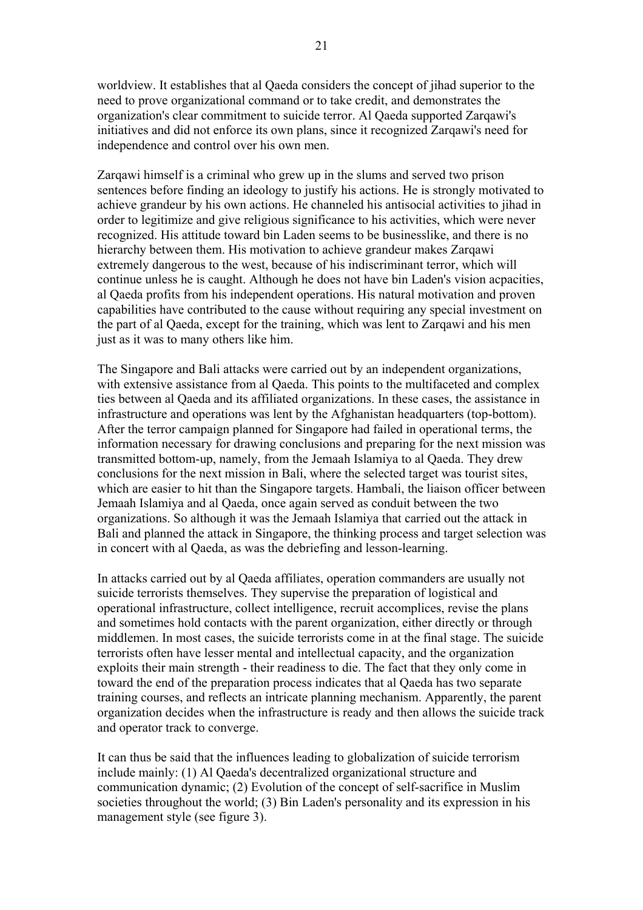worldview. It establishes that al Qaeda considers the concept of jihad superior to the need to prove organizational command or to take credit, and demonstrates the organization's clear commitment to suicide terror. Al Qaeda supported Zarqawi's initiatives and did not enforce its own plans, since it recognized Zarqawi's need for independence and control over his own men.

Zarqawi himself is a criminal who grew up in the slums and served two prison sentences before finding an ideology to justify his actions. He is strongly motivated to achieve grandeur by his own actions. He channeled his antisocial activities to jihad in order to legitimize and give religious significance to his activities, which were never recognized. His attitude toward bin Laden seems to be businesslike, and there is no hierarchy between them. His motivation to achieve grandeur makes Zarqawi extremely dangerous to the west, because of his indiscriminant terror, which will continue unless he is caught. Although he does not have bin Laden's vision acpacities, al Qaeda profits from his independent operations. His natural motivation and proven capabilities have contributed to the cause without requiring any special investment on the part of al Qaeda, except for the training, which was lent to Zarqawi and his men just as it was to many others like him.

The Singapore and Bali attacks were carried out by an independent organizations, with extensive assistance from al Qaeda. This points to the multifaceted and complex ties between al Qaeda and its affiliated organizations. In these cases, the assistance in infrastructure and operations was lent by the Afghanistan headquarters (top-bottom). After the terror campaign planned for Singapore had failed in operational terms, the information necessary for drawing conclusions and preparing for the next mission was transmitted bottom-up, namely, from the Jemaah Islamiya to al Qaeda. They drew conclusions for the next mission in Bali, where the selected target was tourist sites, which are easier to hit than the Singapore targets. Hambali, the liaison officer between Jemaah Islamiya and al Qaeda, once again served as conduit between the two organizations. So although it was the Jemaah Islamiya that carried out the attack in Bali and planned the attack in Singapore, the thinking process and target selection was in concert with al Qaeda, as was the debriefing and lesson-learning.

In attacks carried out by al Qaeda affiliates, operation commanders are usually not suicide terrorists themselves. They supervise the preparation of logistical and operational infrastructure, collect intelligence, recruit accomplices, revise the plans and sometimes hold contacts with the parent organization, either directly or through middlemen. In most cases, the suicide terrorists come in at the final stage. The suicide terrorists often have lesser mental and intellectual capacity, and the organization exploits their main strength - their readiness to die. The fact that they only come in toward the end of the preparation process indicates that al Qaeda has two separate training courses, and reflects an intricate planning mechanism. Apparently, the parent organization decides when the infrastructure is ready and then allows the suicide track and operator track to converge.

It can thus be said that the influences leading to globalization of suicide terrorism include mainly: (1) Al Qaeda's decentralized organizational structure and communication dynamic; (2) Evolution of the concept of self-sacrifice in Muslim societies throughout the world; (3) Bin Laden's personality and its expression in his management style (see figure 3).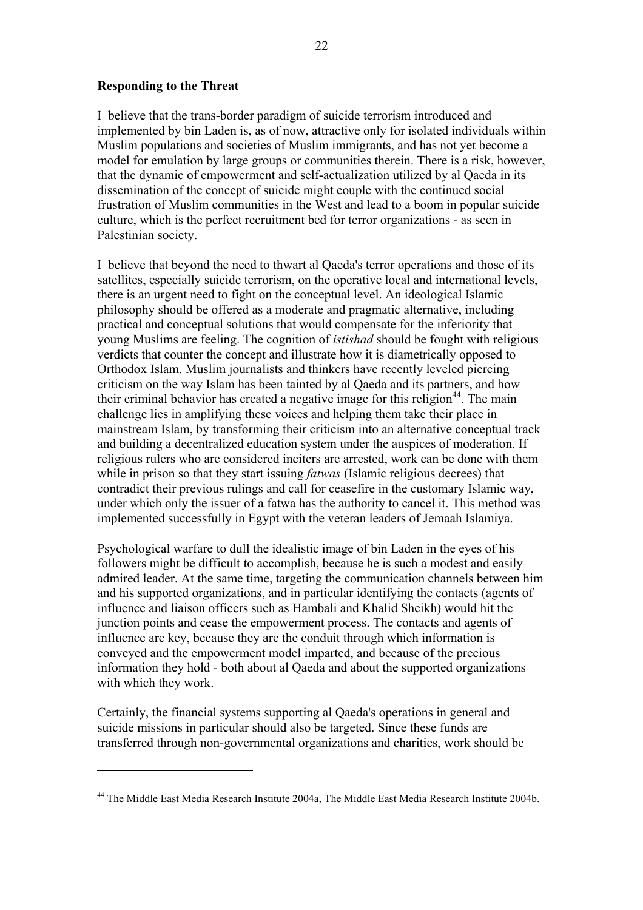22

#### **Responding to the Threat**

 $\overline{a}$ 

I believe that the trans-border paradigm of suicide terrorism introduced and implemented by bin Laden is, as of now, attractive only for isolated individuals within Muslim populations and societies of Muslim immigrants, and has not yet become a model for emulation by large groups or communities therein. There is a risk, however, that the dynamic of empowerment and self-actualization utilized by al Qaeda in its dissemination of the concept of suicide might couple with the continued social frustration of Muslim communities in the West and lead to a boom in popular suicide culture, which is the perfect recruitment bed for terror organizations - as seen in Palestinian society.

I believe that beyond the need to thwart al Qaeda's terror operations and those of its satellites, especially suicide terrorism, on the operative local and international levels, there is an urgent need to fight on the conceptual level. An ideological Islamic philosophy should be offered as a moderate and pragmatic alternative, including practical and conceptual solutions that would compensate for the inferiority that young Muslims are feeling. The cognition of *istishad* should be fought with religious verdicts that counter the concept and illustrate how it is diametrically opposed to Orthodox Islam. Muslim journalists and thinkers have recently leveled piercing criticism on the way Islam has been tainted by al Qaeda and its partners, and how their criminal behavior has created a negative image for this religion<sup>44</sup>. The main challenge lies in amplifying these voices and helping them take their place in mainstream Islam, by transforming their criticism into an alternative conceptual track and building a decentralized education system under the auspices of moderation. If religious rulers who are considered inciters are arrested, work can be done with them while in prison so that they start issuing *fatwas* (Islamic religious decrees) that contradict their previous rulings and call for ceasefire in the customary Islamic way, under which only the issuer of a fatwa has the authority to cancel it. This method was implemented successfully in Egypt with the veteran leaders of Jemaah Islamiya.

Psychological warfare to dull the idealistic image of bin Laden in the eyes of his followers might be difficult to accomplish, because he is such a modest and easily admired leader. At the same time, targeting the communication channels between him and his supported organizations, and in particular identifying the contacts (agents of influence and liaison officers such as Hambali and Khalid Sheikh) would hit the junction points and cease the empowerment process. The contacts and agents of influence are key, because they are the conduit through which information is conveyed and the empowerment model imparted, and because of the precious information they hold - both about al Qaeda and about the supported organizations with which they work.

Certainly, the financial systems supporting al Qaeda's operations in general and suicide missions in particular should also be targeted. Since these funds are transferred through non-governmental organizations and charities, work should be

<sup>44</sup> The Middle East Media Research Institute 2004a, The Middle East Media Research Institute 2004b.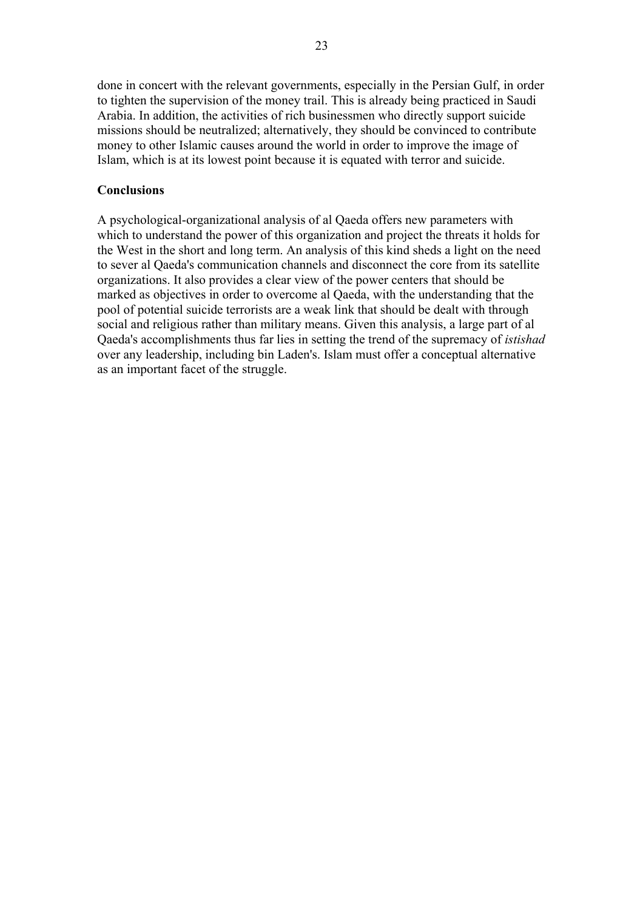done in concert with the relevant governments, especially in the Persian Gulf, in order to tighten the supervision of the money trail. This is already being practiced in Saudi Arabia. In addition, the activities of rich businessmen who directly support suicide missions should be neutralized; alternatively, they should be convinced to contribute money to other Islamic causes around the world in order to improve the image of Islam, which is at its lowest point because it is equated with terror and suicide.

## **Conclusions**

A psychological-organizational analysis of al Qaeda offers new parameters with which to understand the power of this organization and project the threats it holds for the West in the short and long term. An analysis of this kind sheds a light on the need to sever al Qaeda's communication channels and disconnect the core from its satellite organizations. It also provides a clear view of the power centers that should be marked as objectives in order to overcome al Qaeda, with the understanding that the pool of potential suicide terrorists are a weak link that should be dealt with through social and religious rather than military means. Given this analysis, a large part of al Qaeda's accomplishments thus far lies in setting the trend of the supremacy of *istishad* over any leadership, including bin Laden's. Islam must offer a conceptual alternative as an important facet of the struggle.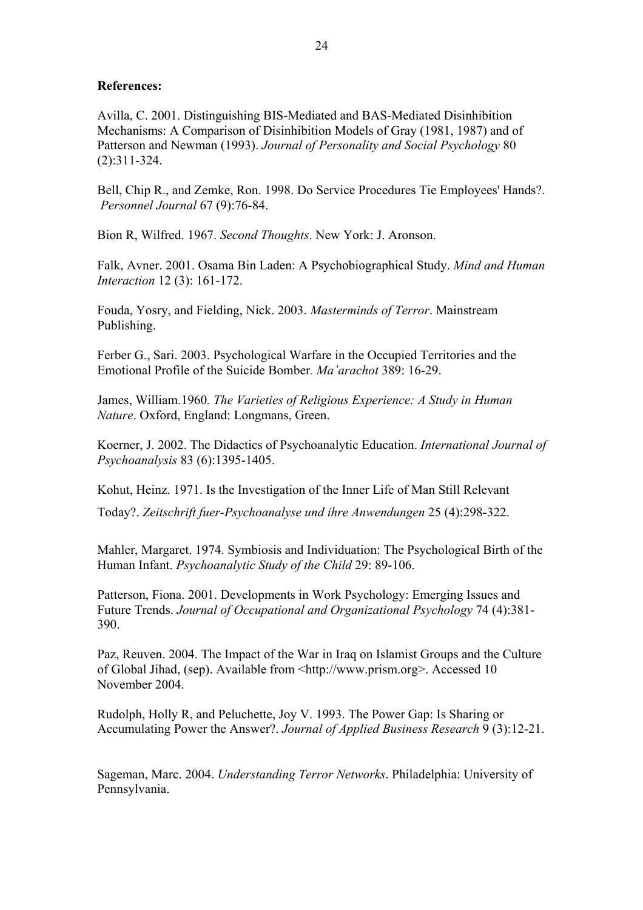## **References:**

Avilla, C. 2001. Distinguishing BIS-Mediated and BAS-Mediated Disinhibition Mechanisms: A Comparison of Disinhibition Models of Gray (1981, 1987) and of Patterson and Newman (1993). *Journal of Personality and Social Psychology* 80 (2):311-324.

Bell, Chip R., and Zemke, Ron. 1998. Do Service Procedures Tie Employees' Hands?.  *Personnel Journal* 67 (9):76-84.

Bion R, Wilfred. 1967. *Second Thoughts*. New York: J. Aronson.

Falk, Avner. 2001. Osama Bin Laden: A Psychobiographical Study. *Mind and Human Interaction* 12 (3): 161-172.

Fouda, Yosry, and Fielding, Nick. 2003. *Masterminds of Terror*. Mainstream Publishing.

Ferber G., Sari. 2003. Psychological Warfare in the Occupied Territories and the Emotional Profile of the Suicide Bomber*. Ma'arachot* 389: 16-29.

James, William.1960*. The Varieties of Religious Experience: A Study in Human Nature*. Oxford, England: Longmans, Green.

Koerner, J. 2002. The Didactics of Psychoanalytic Education. *International Journal of Psychoanalysis* 83 (6):1395-1405.

Kohut, Heinz. 1971. Is the Investigation of the Inner Life of Man Still Relevant

Today?. *Zeitschrift fuer-Psychoanalyse und ihre Anwendungen* 25 (4):298-322.

Mahler, Margaret. 1974. Symbiosis and Individuation: The Psychological Birth of the Human Infant. *Psychoanalytic Study of the Child* 29: 89-106.

Patterson, Fiona. 2001. Developments in Work Psychology: Emerging Issues and Future Trends. *Journal of Occupational and Organizational Psychology* 74 (4):381- 390.

Paz, Reuven. 2004. The Impact of the War in Iraq on Islamist Groups and the Culture of Global Jihad, (sep). Available from <http://www.prism.org>. Accessed 10 November 2004.

Rudolph, Holly R, and Peluchette, Joy V. 1993. The Power Gap: Is Sharing or Accumulating Power the Answer?. *Journal of Applied Business Research* 9 (3):12-21.

Sageman, Marc. 2004. *Understanding Terror Networks*. Philadelphia: University of Pennsylvania.